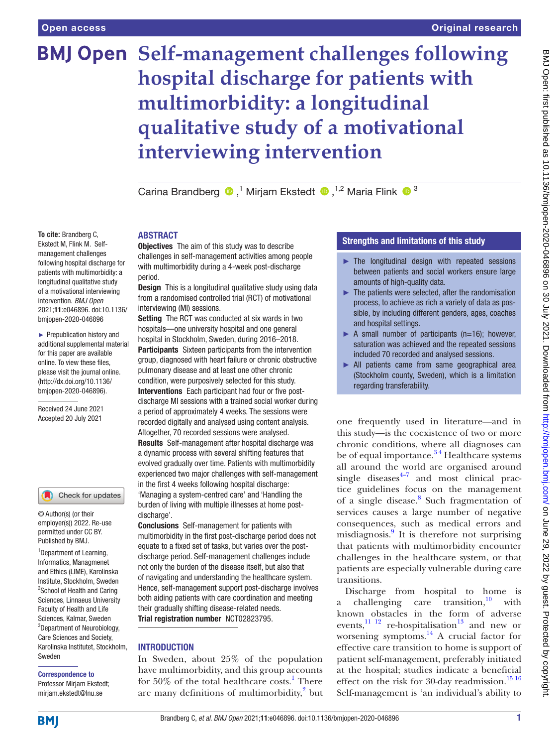# **BMJ Open Self-management challenges following hospital discharge for patients with multimorbidity: a longitudinal qualitative study of a motivational interviewing intervention**

CarinaBrandberg <sup>1</sup>,<sup>1</sup> Mirjam Ekstedt <sup>1,2</sup> Maria Flink <sup>1</sup>

#### **To cite:** Brandberg C, Ekstedt M, Flink M. Selfmanagement challenges following hospital discharge for patients with multimorbidity: a longitudinal qualitative study of a motivational interviewing intervention. *BMJ Open* 2021;11:e046896. doi:10.1136/ bmjopen-2020-046896

► Prepublication history and additional supplemental material for this paper are available online. To view these files, please visit the journal online. (http://dx.doi.org/10.1136/ bmjopen-2020-046896).

Received 24 June 2021 Accepted 20 July 2021

# Check for updates

© Author(s) (or their employer(s)) 2022. Re-use permitted under CC BY. Published by BMJ.

<sup>1</sup>Department of Learning, Informatics, Managmenet and Ethics (LIME), Karolinska Institute, Stockholm, Sweden <sup>2</sup>School of Health and Caring Sciences, Linnaeus University Faculty of Health and Life Sciences, Kalmar, Sweden <sup>3</sup>Department of Neurobiology, Care Sciences and Society, Karolinska Institutet, Stockholm, Sweden

#### Correspondence to Professor Mirjam Ekstedt;

mirjam.ekstedt@lnu.se

## **ARSTRACT**

**Objectives** The aim of this study was to describe challenges in self-management activities among people with multimorbidity during a 4-week post-discharge period.

**Design** This is a longitudinal qualitative study using data from a randomised controlled trial (RCT) of motivational interviewing (MI) sessions.

Setting The RCT was conducted at six wards in two hospitals—one university hospital and one general hospital in Stockholm, Sweden, during 2016–2018.

Participants Sixteen participants from the intervention group, diagnosed with heart failure or chronic obstructive pulmonary disease and at least one other chronic condition, were purposively selected for this study. Interventions Each participant had four or five postdischarge MI sessions with a trained social worker during a period of approximately 4 weeks. The sessions were recorded digitally and analysed using content analysis. Altogether, 70 recorded sessions were analysed. Results Self-management after hospital discharge was a dynamic process with several shifting features that evolved gradually over time. Patients with multimorbidity experienced two major challenges with self-management in the first 4 weeks following hospital discharge: 'Managing a system-centred care' and 'Handling the burden of living with multiple illnesses at home postdischarge'.

Conclusions Self-management for patients with multimorbidity in the first post-discharge period does not equate to a fixed set of tasks, but varies over the postdischarge period. Self-management challenges include not only the burden of the disease itself, but also that of navigating and understanding the healthcare system. Hence, self-management support post-discharge involves both aiding patients with care coordination and meeting their gradually shifting disease-related needs. Trial registration number <NCT02823795>.

# INTRODUCTION

In Sweden, about 25% of the population have multimorbidity, and this group accounts for 50% of the total healthcare costs.<sup>1</sup> There are many definitions of multimorbidity,<sup>[2](#page-6-1)</sup> but

# Strengths and limitations of this study

- $\blacktriangleright$  The longitudinal design with repeated sessions between patients and social workers ensure large amounts of high-quality data.
- $\blacktriangleright$  The patients were selected, after the randomisation process, to achieve as rich a variety of data as possible, by including different genders, ages, coaches and hospital settings.
- $\triangleright$  A small number of participants (n=16); however, saturation was achieved and the repeated sessions included 70 recorded and analysed sessions.
- ► All patients came from same geographical area (Stockholm county, Sweden), which is a limitation regarding transferability.

one frequently used in literature—and in this study—is the coexistence of two or more chronic conditions, where all diagnoses can be of equal importance.<sup>34</sup> Healthcare systems all around the world are organised around single diseases $4\frac{4}{7}$  and most clinical practice guidelines focus on the management of a single disease.<sup>[8](#page-6-4)</sup> Such fragmentation of services causes a large number of negative consequences, such as medical errors and misdiagnosis.<sup>[9](#page-6-5)</sup> It is therefore not surprising that patients with multimorbidity encounter challenges in the healthcare system, or that patients are especially vulnerable during care transitions.

Discharge from hospital to home is a challenging care transition, $\frac{10}{10}$  $\frac{10}{10}$  $\frac{10}{10}$  with known obstacles in the form of adverse events, $^{11}$  <sup>12</sup> re-hospitalisation<sup>13</sup> and new or worsening symptoms. $^{14}$  A crucial factor for effective care transition to home is support of patient self-management, preferably initiated at the hospital; studies indicate a beneficial effect on the risk for 30-day readmission.<sup>[15 16](#page-6-10)</sup> Self-management is 'an individual's ability to

**BMI**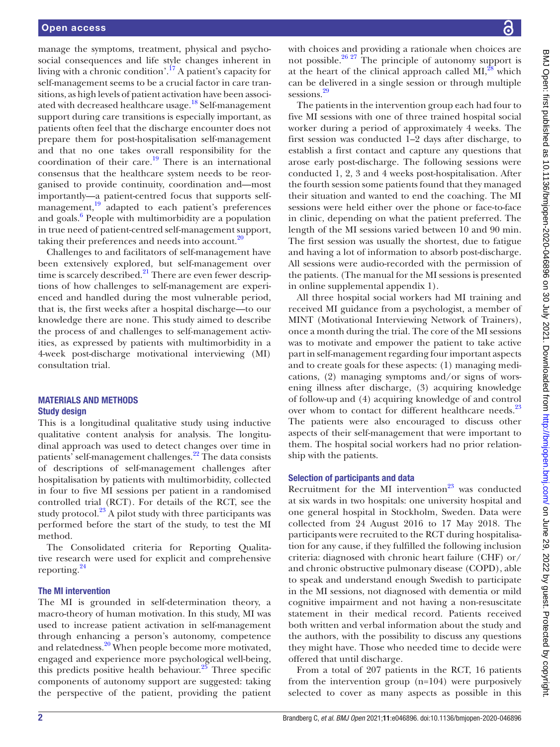manage the symptoms, treatment, physical and psychosocial consequences and life style changes inherent in living with a chronic condition'.<sup>17</sup> A patient's capacity for self-management seems to be a crucial factor in care transitions, as high levels of patient activation have been associated with decreased healthcare usage.<sup>18</sup> Self-management support during care transitions is especially important, as patients often feel that the discharge encounter does not prepare them for post-hospitalisation self-management and that no one takes overall responsibility for the coordination of their care.<sup>19</sup> There is an international consensus that the healthcare system needs to be reorganised to provide continuity, coordination and—most importantly—a patient-centred focus that supports selfmanagement, $19$  adapted to each patient's preferences and goals.<sup>[6](#page-6-14)</sup> People with multimorbidity are a population in true need of patient-centred self-management support, taking their preferences and needs into account. $^{20}$ 

Challenges to and facilitators of self-management have been extensively explored, but self-management over time is scarcely described. $^{21}$  There are even fewer descriptions of how challenges to self-management are experienced and handled during the most vulnerable period, that is, the first weeks after a hospital discharge—to our knowledge there are none. This study aimed to describe the process of and challenges to self-management activities, as expressed by patients with multimorbidity in a 4-week post-discharge motivational interviewing (MI) consultation trial.

## MATERIALS AND METHODS Study design

This is a longitudinal qualitative study using inductive qualitative content analysis for analysis. The longitudinal approach was used to detect changes over time in patients' self-management challenges[.22](#page-6-17) The data consists of descriptions of self-management challenges after hospitalisation by patients with multimorbidity, collected in four to five MI sessions per patient in a randomised controlled trial (RCT). For details of the RCT, see the study protocol.<sup>[23](#page-6-18)</sup> A pilot study with three participants was performed before the start of the study, to test the MI method.

The Consolidated criteria for Reporting Qualitative research were used for explicit and comprehensive reporting.[24](#page-6-19)

### The MI intervention

The MI is grounded in self-determination theory, a macro-theory of human motivation. In this study, MI was used to increase patient activation in self-management through enhancing a person's autonomy, competence and relatedness.<sup>20</sup> When people become more motivated, engaged and experience more psychological well-being, this predicts positive health behaviour. $25$  Three specific components of autonomy support are suggested: taking the perspective of the patient, providing the patient

with choices and providing a rationale when choices are not possible.<sup>26</sup>  $27$  The principle of autonomy support is at the heart of the clinical approach called  $MI$ ,<sup>[28](#page-6-22)</sup> which can be delivered in a single session or through multiple sessions.<sup>[29](#page-6-23)</sup>

The patients in the intervention group each had four to five MI sessions with one of three trained hospital social worker during a period of approximately 4 weeks. The first session was conducted 1–2 days after discharge, to establish a first contact and capture any questions that arose early post-discharge. The following sessions were conducted 1, 2, 3 and 4 weeks post-hospitalisation. After the fourth session some patients found that they managed their situation and wanted to end the coaching. The MI sessions were held either over the phone or face-to-face in clinic, depending on what the patient preferred. The length of the MI sessions varied between 10 and 90 min. The first session was usually the shortest, due to fatigue and having a lot of information to absorb post-discharge. All sessions were audio-recorded with the permission of the patients. (The manual for the MI sessions is presented in [online supplemental appendix 1\)](https://dx.doi.org/10.1136/bmjopen-2020-046896).

All three hospital social workers had MI training and received MI guidance from a psychologist, a member of MINT (Motivational Interviewing Network of Trainers), once a month during the trial. The core of the MI sessions was to motivate and empower the patient to take active part in self-management regarding four important aspects and to create goals for these aspects: (1) managing medications, (2) managing symptoms and/or signs of worsening illness after discharge, (3) acquiring knowledge of follow-up and (4) acquiring knowledge of and control over whom to contact for different healthcare needs.<sup>[23](#page-6-18)</sup> The patients were also encouraged to discuss other aspects of their self-management that were important to them. The hospital social workers had no prior relationship with the patients.

### Selection of participants and data

Recruitment for the MI intervention $^{23}$  was conducted at six wards in two hospitals: one university hospital and one general hospital in Stockholm, Sweden. Data were collected from 24 August 2016 to 17 May 2018. The participants were recruited to the RCT during hospitalisation for any cause, if they fulfilled the following inclusion criteria: diagnosed with chronic heart failure (CHF) or/ and chronic obstructive pulmonary disease (COPD), able to speak and understand enough Swedish to participate in the MI sessions, not diagnosed with dementia or mild cognitive impairment and not having a non-resuscitate statement in their medical record. Patients received both written and verbal information about the study and the authors, with the possibility to discuss any questions they might have. Those who needed time to decide were offered that until discharge.

From a total of 207 patients in the RCT, 16 patients from the intervention group (n=104) were purposively selected to cover as many aspects as possible in this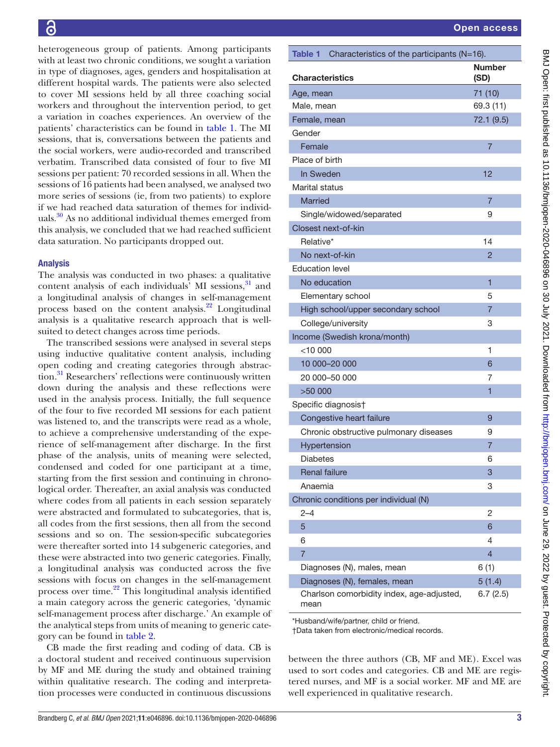heterogeneous group of patients. Among participants with at least two chronic conditions, we sought a variation in type of diagnoses, ages, genders and hospitalisation at different hospital wards. The patients were also selected to cover MI sessions held by all three coaching social workers and throughout the intervention period, to get a variation in coaches experiences. An overview of the patients' characteristics can be found in [table](#page-2-0) 1. The MI sessions, that is, conversations between the patients and the social workers, were audio-recorded and transcribed verbatim. Transcribed data consisted of four to five MI sessions per patient: 70 recorded sessions in all. When the sessions of 16 patients had been analysed, we analysed two more series of sessions (ie, from two patients) to explore if we had reached data saturation of themes for individuals. $30$  As no additional individual themes emerged from this analysis, we concluded that we had reached sufficient data saturation. No participants dropped out.

# Analysis

The analysis was conducted in two phases: a qualitative content analysis of each individuals' MI sessions, $31$  and a longitudinal analysis of changes in self-management process based on the content analysis.<sup>22</sup> Longitudinal analysis is a qualitative research approach that is wellsuited to detect changes across time periods.

The transcribed sessions were analysed in several steps using inductive qualitative content analysis, including open coding and creating categories through abstraction.<sup>31</sup> Researchers' reflections were continuously written down during the analysis and these reflections were used in the analysis process. Initially, the full sequence of the four to five recorded MI sessions for each patient was listened to, and the transcripts were read as a whole, to achieve a comprehensive understanding of the experience of self-management after discharge. In the first phase of the analysis, units of meaning were selected, condensed and coded for one participant at a time, starting from the first session and continuing in chronological order. Thereafter, an axial analysis was conducted where codes from all patients in each session separately were abstracted and formulated to subcategories, that is, all codes from the first sessions, then all from the second sessions and so on. The session-specific subcategories were thereafter sorted into 14 subgeneric categories, and these were abstracted into two generic categories. Finally, a longitudinal analysis was conducted across the five sessions with focus on changes in the self-management process over time. $2^2$  This longitudinal analysis identified a main category across the generic categories, 'dynamic self-management process after discharge.' An example of the analytical steps from units of meaning to generic category can be found in [table](#page-3-0) 2.

CB made the first reading and coding of data. CB is a doctoral student and received continuous supervision by MF and ME during the study and obtained training within qualitative research. The coding and interpretation processes were conducted in continuous discussions

Number (SD)

<span id="page-2-0"></span>Table 1 Characteristics of the participants (N=16).

Age, mean 71 (10) Male, mean 69.3 (11) Female, mean 72.1 (9.5)

Female 7 and 7 and 7 and 7 and 7 and 7 and 7 and 7 and 7 and 7 and 7 and 7 and 7 and 7 and 7 and 7 and 7 and 7

In Sweden **12** 

Married 7 and 7 and 7 and 7 and 7 and 7 and 7 and 7 and 7 and 7 and 7 and 7 and 7 and 7 and 7 and 7 and 7 and 7 Single/widowed/separated 9

Relative\* 14 No next-of-kin 2

Elementary school 5 High school/upper secondary school 7 College/university 3

 $<$ 10 000  $<$ 1 10 000–20 000 6 20 000–50 000 7

Congestive heart failure **9** 0 0 1 1 2 2 3 4 4 5 4  $\sigma$ Chronic obstructive pulmonary diseases 9 Hypertension 7 and 7 and 7 and 7 and 7 and 7 and 7 and 7 and 7 and 7 and 7 and 7 and 7 and 7 and 7 and 7 and 7 Diabetes 6 Renal failure 3 3 Anaemia 3

 $2-4$  2  $5$  6  $6$ 6 4  $7$  4 Diagnoses (N), males, mean 6 (1) Diagnoses (N), females, mean 5 (1.4)

Charlson comorbidity index, age-adjusted,

**Characteristics** 

Gender

Place of birth

Marital status

Closest next-of-kin

Education level No education

 $>50000$ 

mean

Specific diagnosis†

Income (Swedish krona/month)

Chronic conditions per individual (N)

\*Husband/wife/partner, child or friend. †Data taken from electronic/medical records.

| $\ddot{\phantom{a}}$                                                         |
|------------------------------------------------------------------------------|
|                                                                              |
|                                                                              |
|                                                                              |
|                                                                              |
|                                                                              |
|                                                                              |
|                                                                              |
|                                                                              |
| $\vdots$                                                                     |
|                                                                              |
|                                                                              |
|                                                                              |
|                                                                              |
|                                                                              |
|                                                                              |
|                                                                              |
|                                                                              |
|                                                                              |
|                                                                              |
|                                                                              |
|                                                                              |
|                                                                              |
| .<br>.                                                                       |
|                                                                              |
|                                                                              |
| $\ddot{\phantom{a}}$                                                         |
|                                                                              |
|                                                                              |
|                                                                              |
| )<br>)<br>)<br>)                                                             |
|                                                                              |
|                                                                              |
|                                                                              |
|                                                                              |
| )<br>)<br>)                                                                  |
|                                                                              |
|                                                                              |
|                                                                              |
|                                                                              |
|                                                                              |
|                                                                              |
|                                                                              |
|                                                                              |
| -<br>-<br>><br>><br>><br>>                                                   |
|                                                                              |
|                                                                              |
|                                                                              |
|                                                                              |
|                                                                              |
|                                                                              |
|                                                                              |
|                                                                              |
|                                                                              |
|                                                                              |
|                                                                              |
|                                                                              |
|                                                                              |
| しょうこ イングウ ウトウクシウ クニ クラ うえご インター・ ブリー・ニュー                                     |
|                                                                              |
|                                                                              |
|                                                                              |
|                                                                              |
|                                                                              |
|                                                                              |
|                                                                              |
|                                                                              |
|                                                                              |
|                                                                              |
|                                                                              |
|                                                                              |
|                                                                              |
| È                                                                            |
|                                                                              |
|                                                                              |
| j<br>}                                                                       |
| indoi                                                                        |
|                                                                              |
|                                                                              |
|                                                                              |
|                                                                              |
|                                                                              |
|                                                                              |
|                                                                              |
|                                                                              |
|                                                                              |
|                                                                              |
|                                                                              |
|                                                                              |
|                                                                              |
| $\begin{array}{c} \begin{array}{c} \hline \end{array} \\ \hline \end{array}$ |
|                                                                              |
|                                                                              |
| I                                                                            |
|                                                                              |
| I                                                                            |
| ļ                                                                            |
|                                                                              |
|                                                                              |
|                                                                              |
| ŕ                                                                            |
|                                                                              |
|                                                                              |
|                                                                              |
| J                                                                            |
|                                                                              |
|                                                                              |
|                                                                              |
|                                                                              |
|                                                                              |
|                                                                              |
|                                                                              |
|                                                                              |
|                                                                              |
|                                                                              |
|                                                                              |
|                                                                              |
|                                                                              |
| ١                                                                            |

6.7 (2.5)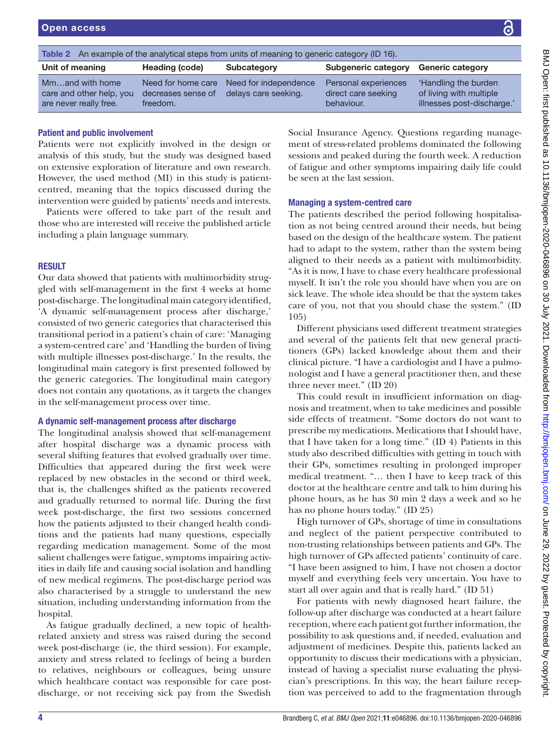<span id="page-3-0"></span>

| An example of the analytical steps from units of meaning to generic category (ID 16).<br>Table 2 |                                                      |                                               |                                                           |                                                                               |  |
|--------------------------------------------------------------------------------------------------|------------------------------------------------------|-----------------------------------------------|-----------------------------------------------------------|-------------------------------------------------------------------------------|--|
| Unit of meaning                                                                                  | Heading (code)                                       | Subcategory                                   | Subgeneric category                                       | <b>Generic category</b>                                                       |  |
| Mmand with home<br>care and other help, you<br>are never really free.                            | Need for home care<br>decreases sense of<br>freedom. | Need for independence<br>delays care seeking. | Personal experiences<br>direct care seeking<br>behaviour. | 'Handling the burden<br>of living with multiple<br>illnesses post-discharge.' |  |

## Patient and public involvement

Patients were not explicitly involved in the design or analysis of this study, but the study was designed based on extensive exploration of literature and own research. However, the used method (MI) in this study is patientcentred, meaning that the topics discussed during the intervention were guided by patients' needs and interests.

Patients were offered to take part of the result and those who are interested will receive the published article including a plain language summary.

# RESULT

Our data showed that patients with multimorbidity struggled with self-management in the first 4 weeks at home post-discharge. The longitudinal main category identified, 'A dynamic self-management process after discharge,' consisted of two generic categories that characterised this transitional period in a patient's chain of care: 'Managing a system-centred care' and 'Handling the burden of living with multiple illnesses post-discharge.' In the results, the longitudinal main category is first presented followed by the generic categories. The longitudinal main category does not contain any quotations, as it targets the changes in the self-management process over time.

### A dynamic self-management process after discharge

The longitudinal analysis showed that self-management after hospital discharge was a dynamic process with several shifting features that evolved gradually over time. Difficulties that appeared during the first week were replaced by new obstacles in the second or third week, that is, the challenges shifted as the patients recovered and gradually returned to normal life. During the first week post-discharge, the first two sessions concerned how the patients adjusted to their changed health conditions and the patients had many questions, especially regarding medication management. Some of the most salient challenges were fatigue, symptoms impairing activities in daily life and causing social isolation and handling of new medical regimens. The post-discharge period was also characterised by a struggle to understand the new situation, including understanding information from the hospital.

As fatigue gradually declined, a new topic of healthrelated anxiety and stress was raised during the second week post-discharge (ie, the third session). For example, anxiety and stress related to feelings of being a burden to relatives, neighbours or colleagues, being unsure which healthcare contact was responsible for care postdischarge, or not receiving sick pay from the Swedish

Social Insurance Agency. Questions regarding management of stress-related problems dominated the following sessions and peaked during the fourth week. A reduction of fatigue and other symptoms impairing daily life could be seen at the last session.

# Managing a system-centred care

The patients described the period following hospitalisation as not being centred around their needs, but being based on the design of the healthcare system. The patient had to adapt to the system, rather than the system being aligned to their needs as a patient with multimorbidity. "As it is now, I have to chase every healthcare professional myself. It isn't the role you should have when you are on sick leave. The whole idea should be that the system takes care of you, not that you should chase the system." (ID 105)

Different physicians used different treatment strategies and several of the patients felt that new general practitioners (GPs) lacked knowledge about them and their clinical picture. "I have a cardiologist and I have a pulmonologist and I have a general practitioner then, and these three never meet." (ID 20)

This could result in insufficient information on diagnosis and treatment, when to take medicines and possible side effects of treatment. "Some doctors do not want to prescribe my medications. Medications that I should have, that I have taken for a long time." (ID 4) Patients in this study also described difficulties with getting in touch with their GPs, sometimes resulting in prolonged improper medical treatment. "… then I have to keep track of this doctor at the healthcare centre and talk to him during his phone hours, as he has 30 min 2 days a week and so he has no phone hours today." (ID 25)

High turnover of GPs, shortage of time in consultations and neglect of the patient perspective contributed to non-trusting relationships between patients and GPs. The high turnover of GPs affected patients' continuity of care. "I have been assigned to him, I have not chosen a doctor myself and everything feels very uncertain. You have to start all over again and that is really hard." (ID 51)

For patients with newly diagnosed heart failure, the follow-up after discharge was conducted at a heart failure reception, where each patient got further information, the possibility to ask questions and, if needed, evaluation and adjustment of medicines. Despite this, patients lacked an opportunity to discuss their medications with a physician, instead of having a specialist nurse evaluating the physician's prescriptions. In this way, the heart failure reception was perceived to add to the fragmentation through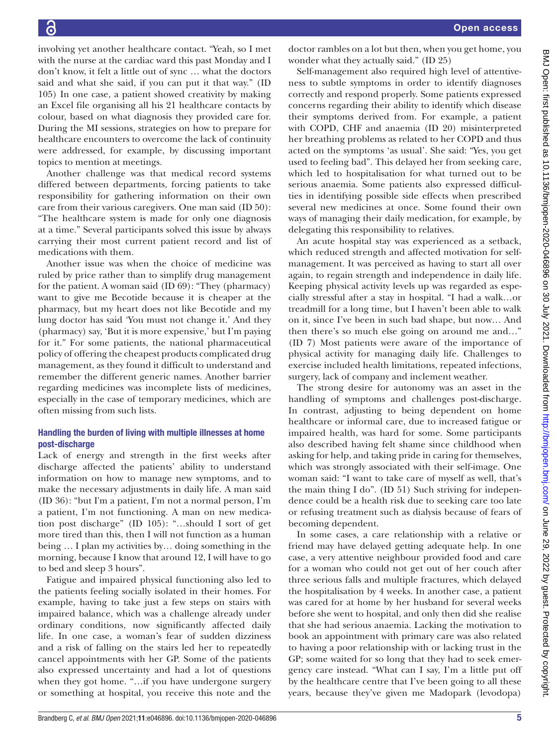involving yet another healthcare contact. "Yeah, so I met with the nurse at the cardiac ward this past Monday and I don't know, it felt a little out of sync … what the doctors said and what she said, if you can put it that way." (ID 105) In one case, a patient showed creativity by making an Excel file organising all his 21 healthcare contacts by colour, based on what diagnosis they provided care for. During the MI sessions, strategies on how to prepare for healthcare encounters to overcome the lack of continuity were addressed, for example, by discussing important topics to mention at meetings.

Another challenge was that medical record systems differed between departments, forcing patients to take responsibility for gathering information on their own care from their various caregivers. One man said (ID 50): "The healthcare system is made for only one diagnosis at a time." Several participants solved this issue by always carrying their most current patient record and list of medications with them.

Another issue was when the choice of medicine was ruled by price rather than to simplify drug management for the patient. A woman said (ID 69): "They (pharmacy) want to give me Becotide because it is cheaper at the pharmacy, but my heart does not like Becotide and my lung doctor has said 'You must not change it.' And they (pharmacy) say, 'But it is more expensive,' but I'm paying for it." For some patients, the national pharmaceutical policy of offering the cheapest products complicated drug management, as they found it difficult to understand and remember the different generic names. Another barrier regarding medicines was incomplete lists of medicines, especially in the case of temporary medicines, which are often missing from such lists.

# Handling the burden of living with multiple illnesses at home post-discharge

Lack of energy and strength in the first weeks after discharge affected the patients' ability to understand information on how to manage new symptoms, and to make the necessary adjustments in daily life. A man said (ID 36): "but I'm a patient, I'm not a normal person, I'm a patient, I'm not functioning. A man on new medication post discharge" (ID 105): "…should I sort of get more tired than this, then I will not function as a human being … I plan my activities by… doing something in the morning, because I know that around 12, I will have to go to bed and sleep 3 hours".

Fatigue and impaired physical functioning also led to the patients feeling socially isolated in their homes. For example, having to take just a few steps on stairs with impaired balance, which was a challenge already under ordinary conditions, now significantly affected daily life. In one case, a woman's fear of sudden dizziness and a risk of falling on the stairs led her to repeatedly cancel appointments with her GP. Some of the patients also expressed uncertainty and had a lot of questions when they got home. "…if you have undergone surgery or something at hospital, you receive this note and the

doctor rambles on a lot but then, when you get home, you wonder what they actually said." (ID 25)

Self-management also required high level of attentiveness to subtle symptoms in order to identify diagnoses correctly and respond properly. Some patients expressed concerns regarding their ability to identify which disease their symptoms derived from. For example, a patient with COPD, CHF and anaemia (ID 20) misinterpreted her breathing problems as related to her COPD and thus acted on the symptoms 'as usual'. She said: "Yes, you get used to feeling bad". This delayed her from seeking care, which led to hospitalisation for what turned out to be serious anaemia. Some patients also expressed difficulties in identifying possible side effects when prescribed several new medicines at once. Some found their own ways of managing their daily medication, for example, by delegating this responsibility to relatives.

An acute hospital stay was experienced as a setback, which reduced strength and affected motivation for selfmanagement. It was perceived as having to start all over again, to regain strength and independence in daily life. Keeping physical activity levels up was regarded as especially stressful after a stay in hospital. "I had a walk…or treadmill for a long time, but I haven't been able to walk on it, since I've been in such bad shape, but now… And then there's so much else going on around me and…" (ID 7) Most patients were aware of the importance of physical activity for managing daily life. Challenges to exercise included health limitations, repeated infections, surgery, lack of company and inclement weather.

The strong desire for autonomy was an asset in the handling of symptoms and challenges post-discharge. In contrast, adjusting to being dependent on home healthcare or informal care, due to increased fatigue or impaired health, was hard for some. Some participants also described having felt shame since childhood when asking for help, and taking pride in caring for themselves, which was strongly associated with their self-image. One woman said: "I want to take care of myself as well, that's the main thing I do". (ID 51) Such striving for independence could be a health risk due to seeking care too late or refusing treatment such as dialysis because of fears of becoming dependent.

In some cases, a care relationship with a relative or friend may have delayed getting adequate help. In one case, a very attentive neighbour provided food and care for a woman who could not get out of her couch after three serious falls and multiple fractures, which delayed the hospitalisation by 4 weeks. In another case, a patient was cared for at home by her husband for several weeks before she went to hospital, and only then did she realise that she had serious anaemia. Lacking the motivation to book an appointment with primary care was also related to having a poor relationship with or lacking trust in the GP; some waited for so long that they had to seek emergency care instead. "What can I say, I'm a little put off by the healthcare centre that I've been going to all these years, because they've given me Madopark (levodopa)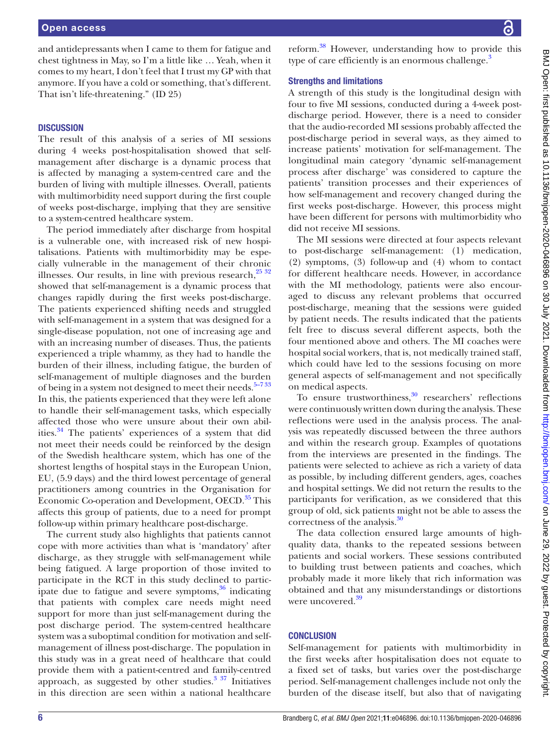and antidepressants when I came to them for fatigue and chest tightness in May, so I'm a little like … Yeah, when it comes to my heart, I don't feel that I trust my GP with that anymore. If you have a cold or something, that's different. That isn't life-threatening." (ID 25)

#### **DISCUSSION**

The result of this analysis of a series of MI sessions during 4 weeks post-hospitalisation showed that selfmanagement after discharge is a dynamic process that is affected by managing a system-centred care and the burden of living with multiple illnesses. Overall, patients with multimorbidity need support during the first couple of weeks post-discharge, implying that they are sensitive to a system-centred healthcare system.

The period immediately after discharge from hospital is a vulnerable one, with increased risk of new hospitalisations. Patients with multimorbidity may be especially vulnerable in the management of their chronic illnesses. Our results, in line with previous research, $25\frac{32}{32}$ showed that self-management is a dynamic process that changes rapidly during the first weeks post-discharge. The patients experienced shifting needs and struggled with self-management in a system that was designed for a single-disease population, not one of increasing age and with an increasing number of diseases. Thus, the patients experienced a triple whammy, as they had to handle the burden of their illness, including fatigue, the burden of self-management of multiple diagnoses and the burden of being in a system not designed to meet their needs. $5-733$ In this, the patients experienced that they were left alone to handle their self-management tasks, which especially affected those who were unsure about their own abil-ities.<sup>[34](#page-7-2)</sup> The patients' experiences of a system that did not meet their needs could be reinforced by the design of the Swedish healthcare system, which has one of the shortest lengths of hospital stays in the European Union, EU, (5.9 days) and the third lowest percentage of general practitioners among countries in the Organisation for Economic Co-operation and Development, OECD.<sup>35</sup> This affects this group of patients, due to a need for prompt follow-up within primary healthcare post-discharge.

The current study also highlights that patients cannot cope with more activities than what is 'mandatory' after discharge, as they struggle with self-management while being fatigued. A large proportion of those invited to participate in the RCT in this study declined to participate due to fatigue and severe symptoms,  $36$  indicating that patients with complex care needs might need support for more than just self-management during the post discharge period. The system-centred healthcare system was a suboptimal condition for motivation and selfmanagement of illness post-discharge. The population in this study was in a great need of healthcare that could provide them with a patient-centred and family-centred approach, as suggested by other studies. $3\frac{37}{1}$  Initiatives in this direction are seen within a national healthcare

reform.[38](#page-7-5) However, understanding how to provide this type of care efficiently is an enormous challenge. $3$ 

#### Strengths and limitations

A strength of this study is the longitudinal design with four to five MI sessions, conducted during a 4-week postdischarge period. However, there is a need to consider that the audio-recorded MI sessions probably affected the post-discharge period in several ways, as they aimed to increase patients' motivation for self-management. The longitudinal main category 'dynamic self-management process after discharge' was considered to capture the patients' transition processes and their experiences of how self-management and recovery changed during the first weeks post-discharge. However, this process might have been different for persons with multimorbidity who did not receive MI sessions.

The MI sessions were directed at four aspects relevant to post-discharge self-management: (1) medication, (2) symptoms, (3) follow-up and (4) whom to contact for different healthcare needs. However, in accordance with the MI methodology, patients were also encouraged to discuss any relevant problems that occurred post-discharge, meaning that the sessions were guided by patient needs. The results indicated that the patients felt free to discuss several different aspects, both the four mentioned above and others. The MI coaches were hospital social workers, that is, not medically trained staff, which could have led to the sessions focusing on more general aspects of self-management and not specifically on medical aspects.

To ensure trustworthiness,<sup>[30](#page-7-0)</sup> researchers' reflections were continuously written down during the analysis. These reflections were used in the analysis process. The analysis was repeatedly discussed between the three authors and within the research group. Examples of quotations from the interviews are presented in the findings. The patients were selected to achieve as rich a variety of data as possible, by including different genders, ages, coaches and hospital settings. We did not return the results to the participants for verification, as we considered that this group of old, sick patients might not be able to assess the correctness of the analysis.<sup>30</sup>

The data collection ensured large amounts of highquality data, thanks to the repeated sessions between patients and social workers. These sessions contributed to building trust between patients and coaches, which probably made it more likely that rich information was obtained and that any misunderstandings or distortions were uncovered.<sup>39</sup>

### **CONCLUSION**

Self-management for patients with multimorbidity in the first weeks after hospitalisation does not equate to a fixed set of tasks, but varies over the post-discharge period. Self-management challenges include not only the burden of the disease itself, but also that of navigating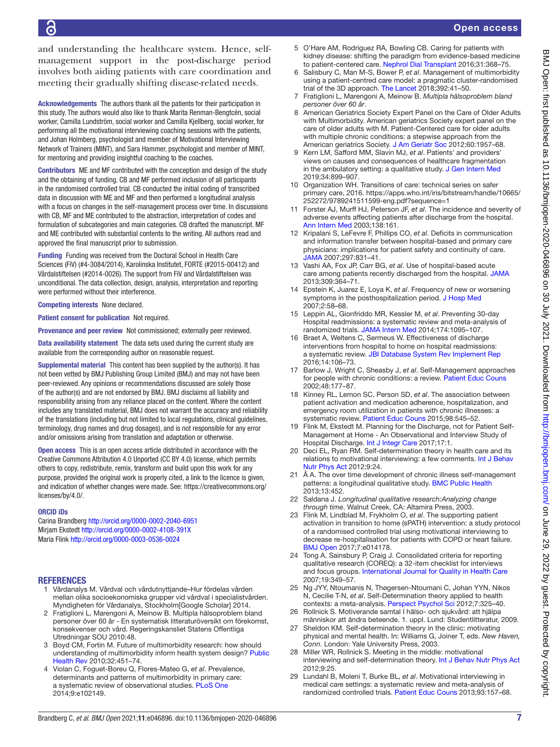# Open access

and understanding the healthcare system. Hence, selfmanagement support in the post-discharge period involves both aiding patients with care coordination and meeting their gradually shifting disease-related needs.

Acknowledgements The authors thank all the patients for their participation in this study. The authors would also like to thank Marita Renman-Bengtcén, social worker, Camilla Lundström, social worker and Camilla Kjellberg, social worker, for performing all the motivational interviewing coaching sessions with the patients, and Johan Holmberg, psychologist and member of Motivational Interviewing Network of Trainers (MINT), and Sara Hammer, psychologist and member of MINT, for mentoring and providing insightful coaching to the coaches.

Contributors ME and MF contributed with the conception and design of the study and the obtaining of funding. CB and MF performed inclusion of all participants in the randomised controlled trial. CB conducted the initial coding of transcribed data in discussion with ME and MF and then performed a longitudinal analysis with a focus on changes in the self-management process over time. In discussions with CB, MF and ME contributed to the abstraction, interpretation of codes and formulation of subcategories and main categories. CB drafted the manuscript. MF and ME contributed with substantial contents to the writing. All authors read and approved the final manuscript prior to submission.

Funding Funding was received from the Doctoral School in Health Care Sciences (FiV) (#4-3084/2014), Karolinska Institutet, FORTE (#2015-00412) and Vårdalstiftelsen (#2014-0026). The support from FiV and Vårdalstiftelsen was unconditional. The data collection, design, analysis, interpretation and reporting were performed without their interference.

Competing interests None declared.

Patient consent for publication Not required.

Provenance and peer review Not commissioned; externally peer reviewed.

Data availability statement The data sets used during the current study are available from the corresponding author on reasonable request.

Supplemental material This content has been supplied by the author(s). It has not been vetted by BMJ Publishing Group Limited (BMJ) and may not have been peer-reviewed. Any opinions or recommendations discussed are solely those of the author(s) and are not endorsed by BMJ. BMJ disclaims all liability and responsibility arising from any reliance placed on the content. Where the content includes any translated material, BMJ does not warrant the accuracy and reliability of the translations (including but not limited to local regulations, clinical guidelines, terminology, drug names and drug dosages), and is not responsible for any error and/or omissions arising from translation and adaptation or otherwise.

Open access This is an open access article distributed in accordance with the Creative Commons Attribution 4.0 Unported (CC BY 4.0) license, which permits others to copy, redistribute, remix, transform and build upon this work for any purpose, provided the original work is properly cited, a link to the licence is given, and indication of whether changes were made. See: [https://creativecommons.org/](https://creativecommons.org/licenses/by/4.0/) [licenses/by/4.0/.](https://creativecommons.org/licenses/by/4.0/)

#### ORCID iDs

Carina Brandberg<http://orcid.org/0000-0002-2040-6951> Mirjam Ekstedt <http://orcid.org/0000-0002-4108-391X> Maria Flink<http://orcid.org/0000-0003-0536-0024>

#### **REFERENCES**

- <span id="page-6-0"></span>1 Vårdanalys M. Vårdval och vårdutnyttjande–Hur fördelas vården mellan olika socioekonomiska grupper vid vårdval i specialistvården. Myndigheten för Vårdanalys, Stockholm[Google Scholar] 2014.
- <span id="page-6-1"></span>2 Fratiglioni L, Marengoni A, Meinow B. Multipla hälsoproblem bland personer över 60 år - En systematisk litteraturöversikt om förekomst, konsekvenser och vård. Regeringskansliet Statens Offentliga Utredningar SOU 2010:48.
- <span id="page-6-2"></span>3 Boyd CM, Fortin M. Future of multimorbidity research: how should understanding of multimorbidity inform health system design? [Public](http://dx.doi.org/10.1007/BF03391611)  [Health Rev](http://dx.doi.org/10.1007/BF03391611) 2010;32:451–74.
- <span id="page-6-3"></span>4 Violan C, Foguet-Boreu Q, Flores-Mateo G, *et al*. Prevalence, determinants and patterns of multimorbidity in primary care: a systematic review of observational studies. [PLoS One](http://dx.doi.org/10.1371/journal.pone.0102149) 2014;9:e102149.
- <span id="page-6-24"></span>5 O'Hare AM, Rodriguez RA, Bowling CB. Caring for patients with kidney disease: shifting the paradigm from evidence-based medicine to patient-centered care. [Nephrol Dial Transplant](http://dx.doi.org/10.1093/ndt/gfv003) 2016;31:368–75.
- <span id="page-6-14"></span>6 Salisbury C, Man M-S, Bower P, *et al*. Management of multimorbidity using a patient-centred care model: a pragmatic cluster-randomised trial of the 3D approach. [The Lancet](http://dx.doi.org/10.1016/S0140-6736(18)31308-4) 2018;392:41–50.
- 7 Fratiglioni L, Marengoni A, Meinow B. *Multipla hälsoproblem bland personer över 60 år*.
- <span id="page-6-4"></span>8 American Geriatrics Society Expert Panel on the Care of Older Adults with Multimorbidity. American geriatrics Society expert panel on the care of older adults with M. Patient‐Centered care for older adults with multiple chronic conditions: a stepwise approach from the American geriatrics Society. [J Am Geriatr Soc](http://dx.doi.org/10.1111/j.1532-5415.2012.04187.x) 2012;60:1957-68.
- <span id="page-6-5"></span>9 Kern LM, Safford MM, Slavin MJ, *et al*. Patients' and providers' views on causes and consequences of healthcare fragmentation in the ambulatory setting: a qualitative study. [J Gen Intern Med](http://dx.doi.org/10.1007/s11606-019-04859-1) 2019;34:899–907.
- <span id="page-6-6"></span>10 Organization WH. Transitions of care: technical series on safer primary care, 2016. [https://apps.who.int/iris/bitstream/handle/10665/](https://apps.who.int/iris/bitstream/handle/10665/252272/9789241511599-eng.pdf?sequence=1) [252272/9789241511599-eng.pdf?sequence=1](https://apps.who.int/iris/bitstream/handle/10665/252272/9789241511599-eng.pdf?sequence=1)
- <span id="page-6-7"></span>11 Forster AJ, Murff HJ, Peterson JF, *et al*. The incidence and severity of adverse events affecting patients after discharge from the hospital. [Ann Intern Med](http://dx.doi.org/10.7326/0003-4819-138-3-200302040-00007) 2003;138:161.
- 12 Kripalani S, LeFevre F, Phillips CO, *et al*. Deficits in communication and information transfer between hospital-based and primary care physicians: implications for patient safety and continuity of care. [JAMA](http://dx.doi.org/10.1001/jama.297.8.831) 2007;297:831–41.
- <span id="page-6-8"></span>13 Vashi AA, Fox JP, Carr BG, *et al*. Use of hospital-based acute care among patients recently discharged from the hospital. [JAMA](http://dx.doi.org/10.1001/jama.2012.216219) 2013;309:364–71.
- <span id="page-6-9"></span>14 Epstein K, Juarez E, Loya K, *et al*. Frequency of new or worsening symptoms in the posthospitalization period. [J Hosp Med](http://dx.doi.org/10.1002/jhm.170) 2007;2:58–68.
- <span id="page-6-10"></span>15 Leppin AL, Gionfriddo MR, Kessler M, *et al*. Preventing 30-day Hospital readmissions: a systematic review and meta-analysis of randomized trials. [JAMA Intern Med](http://dx.doi.org/10.1001/jamainternmed.2014.1608) 2014;174:1095–107.
- 16 Braet A, Weltens C, Sermeus W. Effectiveness of discharge interventions from hospital to home on hospital readmissions: a systematic review. [JBI Database System Rev Implement Rep](http://dx.doi.org/10.11124/jbisrir-2016-2381) 2016;14:106–73.
- <span id="page-6-11"></span>17 Barlow J, Wright C, Sheasby J, *et al*. Self-Management approaches for people with chronic conditions: a review. [Patient Educ Couns](http://dx.doi.org/10.1016/S0738-3991(02)00032-0) 2002;48:177–87.
- <span id="page-6-12"></span>18 Kinney RL, Lemon SC, Person SD, *et al*. The association between patient activation and medication adherence, hospitalization, and emergency room utilization in patients with chronic illnesses: a systematic review. [Patient Educ Couns](http://dx.doi.org/10.1016/j.pec.2015.02.005) 2015;98:545-52.
- <span id="page-6-13"></span>19 Flink M, Ekstedt M. Planning for the Discharge, not for Patient Self-Management at Home - An Observational and Interview Study of Hospital Discharge. [Int J Integr Care](http://dx.doi.org/10.5334/ijic.3003) 2017;17:1.
- <span id="page-6-15"></span>20 Deci EL, Ryan RM. Self-determination theory in health care and its relations to motivational interviewing: a few comments. [Int J Behav](http://dx.doi.org/10.1186/1479-5868-9-24)  [Nutr Phys Act](http://dx.doi.org/10.1186/1479-5868-9-24) 2012;9:24.
- <span id="page-6-16"></span>21 Å A. The over time development of chronic illness self-management patterns: a longitudinal qualitative study. [BMC Public Health](http://dx.doi.org/10.1186/1471-2458-13-452) 2013;13:452.
- <span id="page-6-17"></span>22 Saldana J. *Longitudinal qualitative research:Analyzing change through time*. Walnut Creek, CA: Altamira Press, 2003.
- <span id="page-6-18"></span>23 Flink M, Lindblad M, Frykholm O, *et al*. The supporting patient activation in transition to home (sPATH) intervention: a study protocol of a randomised controlled trial using motivational interviewing to decrease re-hospitalisation for patients with COPD or heart failure. [BMJ Open](http://dx.doi.org/10.1136/bmjopen-2016-014178) 2017;7:e014178.
- <span id="page-6-19"></span>24 Tong A, Sainsbury P, Craig J. Consolidated criteria for reporting qualitative research (COREQ): a 32-item checklist for interviews and focus groups. [International Journal for Quality in Health Care](http://dx.doi.org/10.1093/intqhc/mzm042) 2007;19:349–57.
- <span id="page-6-20"></span>25 Ng JYY, Ntoumanis N, Thøgersen-Ntoumani C, Johan YYN, Nikos N, Cecilie T-N, *et al*. Self-Determination theory applied to health contexts: a meta-analysis. [Perspect Psychol Sci](http://dx.doi.org/10.1177/1745691612447309) 2012;7:325–40.
- <span id="page-6-21"></span>26 Rollnick S. Motiverande samtal I hälso- och sjukvård: att hjälpa människor att ändra beteende. 1. uppl. Lund: Studentlitteratur, 2009.
- 27 Sheldon KM. Self-determination theory in the clinic: motivating physical and mental health. In: Williams G, Joiner T, eds. *New Haven, Conn*. London: Yale University Press, 2003.
- <span id="page-6-22"></span>28 Miller WR, Rollnick S. Meeting in the middle: motivational interviewing and self-determination theory. [Int J Behav Nutr Phys Act](http://dx.doi.org/10.1186/1479-5868-9-25) 2012;9:25.
- <span id="page-6-23"></span>29 Lundahl B, Moleni T, Burke BL, *et al*. Motivational interviewing in medical care settings: a systematic review and meta-analysis of randomized controlled trials. [Patient Educ Couns](http://dx.doi.org/10.1016/j.pec.2013.07.012) 2013;93:157–68.